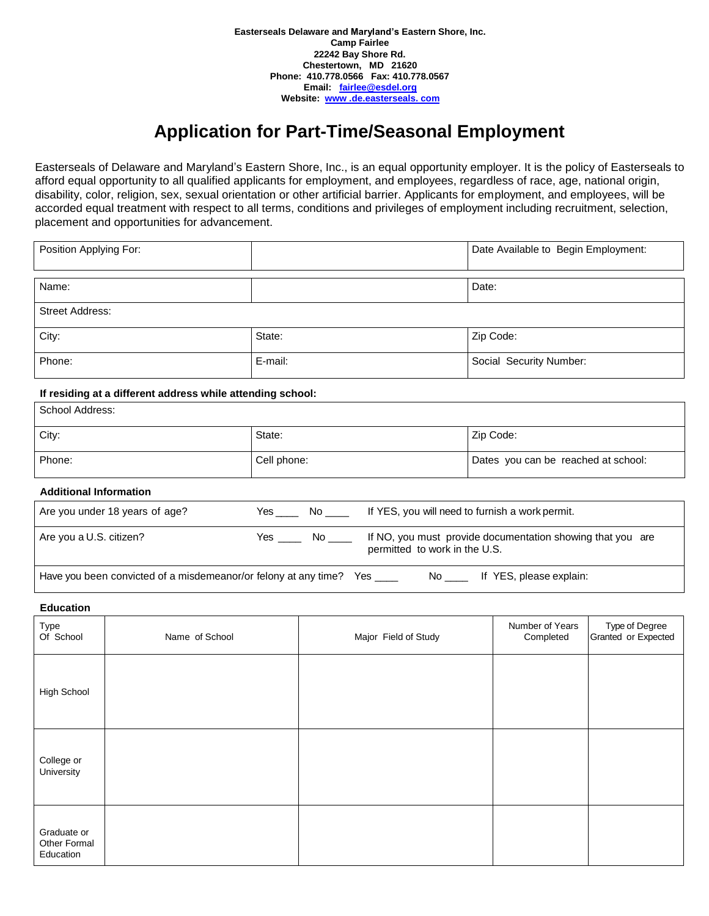# **Application for Part-Time/Seasonal Employment**

Easterseals of Delaware and Maryland's Eastern Shore, Inc., is an equal opportunity employer. It is the policy of Easterseals to afford equal opportunity to all qualified applicants for employment, and employees, regardless of race, age, national origin, disability, color, religion, sex, sexual orientation or other artificial barrier. Applicants for employment, and employees, will be accorded equal treatment with respect to all terms, conditions and privileges of employment including recruitment, selection, placement and opportunities for advancement.

| Position Applying For: |         | Date Available to Begin Employment: |
|------------------------|---------|-------------------------------------|
| Name:                  |         | Date:                               |
| <b>Street Address:</b> |         |                                     |
| City:                  | State:  | Zip Code:                           |
| Phone:                 | E-mail: | Social Security Number:             |

## **If residing at a different address while attending school:**

| School Address: |             |                                     |  |
|-----------------|-------------|-------------------------------------|--|
| City:           | State:      | Zip Code:                           |  |
| Phone:          | Cell phone: | Dates you can be reached at school: |  |

#### **Additional Information**

| Are you under 18 years of age?                                  | Yes | No service and the series of the series of the series of the series of the series of the series of the series o | If YES, you will need to furnish a work permit.                                             |
|-----------------------------------------------------------------|-----|-----------------------------------------------------------------------------------------------------------------|---------------------------------------------------------------------------------------------|
| Are you a U.S. citizen?                                         | Yes | No.                                                                                                             | If NO, you must provide documentation showing that you are<br>permitted to work in the U.S. |
| Have you been convicted of a misdemeanor/or felony at any time? |     |                                                                                                                 | If YES, please explain:<br>Yes<br>No.                                                       |

## **Education**

| Type<br>Of School                        | Name of School | Major Field of Study | Number of Years<br>Completed | Type of Degree<br>Granted or Expected |
|------------------------------------------|----------------|----------------------|------------------------------|---------------------------------------|
| High School                              |                |                      |                              |                                       |
| College or<br>University                 |                |                      |                              |                                       |
| Graduate or<br>Other Formal<br>Education |                |                      |                              |                                       |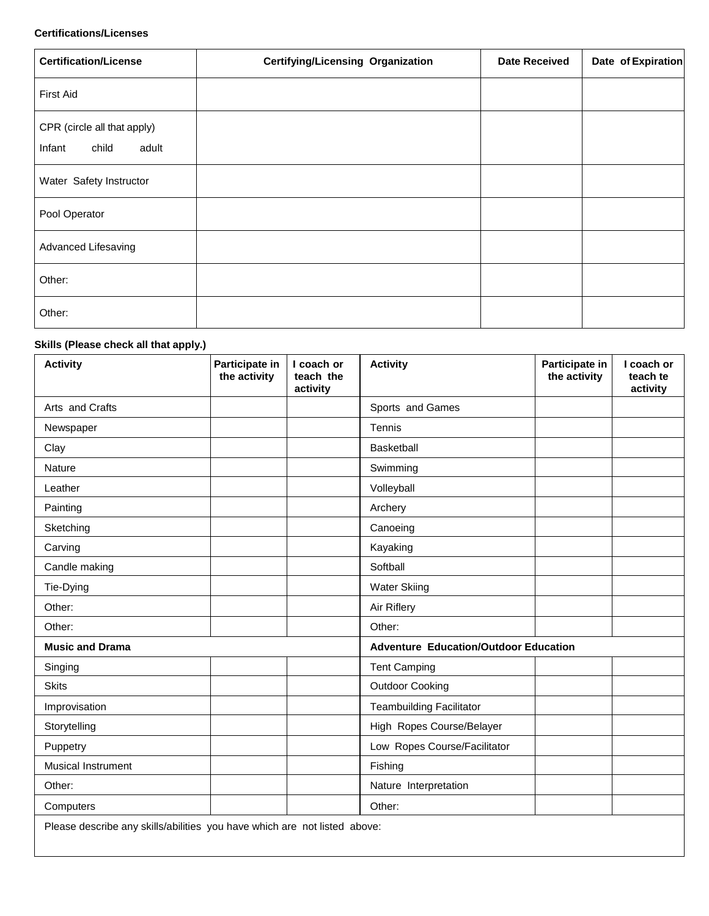## **Certifications/Licenses**

| <b>Certification/License</b>                            | <b>Certifying/Licensing Organization</b> | <b>Date Received</b> | Date of Expiration |
|---------------------------------------------------------|------------------------------------------|----------------------|--------------------|
| <b>First Aid</b>                                        |                                          |                      |                    |
| CPR (circle all that apply)<br>child<br>Infant<br>adult |                                          |                      |                    |
| Water Safety Instructor                                 |                                          |                      |                    |
| Pool Operator                                           |                                          |                      |                    |
| <b>Advanced Lifesaving</b>                              |                                          |                      |                    |
| Other:                                                  |                                          |                      |                    |
| Other:                                                  |                                          |                      |                    |

## **Skills (Please check all that apply.)**

| <b>Activity</b>                                                           | Participate in<br>the activity | I coach or<br>teach the<br>activity          | <b>Activity</b>                 | Participate in<br>the activity | I coach or<br>teach te<br>activity |
|---------------------------------------------------------------------------|--------------------------------|----------------------------------------------|---------------------------------|--------------------------------|------------------------------------|
| Arts and Crafts                                                           |                                |                                              | Sports and Games                |                                |                                    |
| Newspaper                                                                 |                                |                                              | Tennis                          |                                |                                    |
| Clay                                                                      |                                |                                              | Basketball                      |                                |                                    |
| Nature                                                                    |                                |                                              | Swimming                        |                                |                                    |
| Leather                                                                   |                                |                                              | Volleyball                      |                                |                                    |
| Painting                                                                  |                                |                                              | Archery                         |                                |                                    |
| Sketching                                                                 |                                |                                              | Canoeing                        |                                |                                    |
| Carving                                                                   |                                |                                              | Kayaking                        |                                |                                    |
| Candle making                                                             |                                |                                              | Softball                        |                                |                                    |
| Tie-Dying                                                                 |                                |                                              | <b>Water Skiing</b>             |                                |                                    |
| Other:                                                                    |                                |                                              | Air Riflery                     |                                |                                    |
| Other:                                                                    |                                |                                              | Other:                          |                                |                                    |
| <b>Music and Drama</b>                                                    |                                | <b>Adventure Education/Outdoor Education</b> |                                 |                                |                                    |
| Singing                                                                   |                                |                                              | <b>Tent Camping</b>             |                                |                                    |
| <b>Skits</b>                                                              |                                |                                              | <b>Outdoor Cooking</b>          |                                |                                    |
| Improvisation                                                             |                                |                                              | <b>Teambuilding Facilitator</b> |                                |                                    |
| Storytelling                                                              |                                |                                              | High Ropes Course/Belayer       |                                |                                    |
| Puppetry                                                                  |                                |                                              | Low Ropes Course/Facilitator    |                                |                                    |
| <b>Musical Instrument</b>                                                 |                                |                                              | Fishing                         |                                |                                    |
| Other:                                                                    |                                |                                              | Nature Interpretation           |                                |                                    |
| Computers                                                                 |                                |                                              | Other:                          |                                |                                    |
| Please describe any skills/abilities you have which are not listed above: |                                |                                              |                                 |                                |                                    |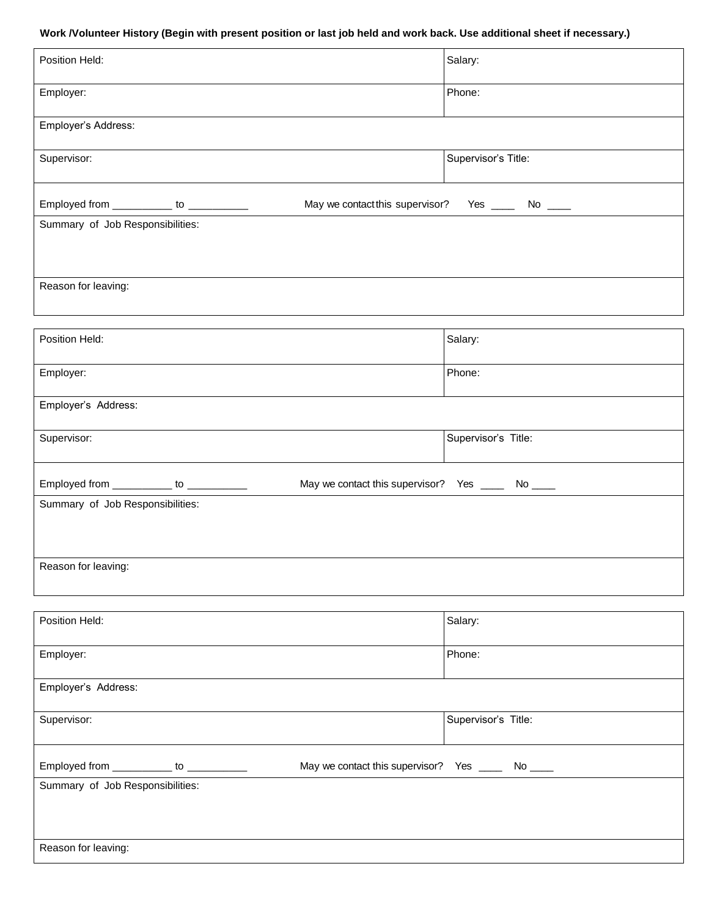## **Work /Volunteer History (Begin with present position or last job held and work back. Use additional sheet if necessary.)**

| Position Held:                                                                | Salary:                                            |
|-------------------------------------------------------------------------------|----------------------------------------------------|
| Employer:                                                                     | Phone:                                             |
| Employer's Address:                                                           |                                                    |
| Supervisor:                                                                   | Supervisor's Title:                                |
| May we contact this supervisor?<br>Employed from ____________ to ____________ | Yes $\_\_\_\$ No $\_\_\_\$                         |
| Summary of Job Responsibilities:                                              |                                                    |
|                                                                               |                                                    |
| Reason for leaving:                                                           |                                                    |
|                                                                               |                                                    |
| Position Held:                                                                | Salary:                                            |
| Employer:                                                                     | Phone:                                             |
| Employer's Address:                                                           |                                                    |
| Supervisor:                                                                   | Supervisor's Title:                                |
| Employed from ____________ to ___________                                     | May we contact this supervisor? Yes ______ No ____ |
| Summary of Job Responsibilities:                                              |                                                    |
|                                                                               |                                                    |
| Reason for leaving:                                                           |                                                    |
|                                                                               |                                                    |
|                                                                               |                                                    |
| Position Held:                                                                | Salary:                                            |
| Employer:                                                                     | Phone:                                             |
| Employer's Address:                                                           |                                                    |
| Supervisor:                                                                   | Supervisor's Title:                                |
| Employed from ___________ to ___________                                      | May we contact this supervisor? Yes _____ No ____  |
| Summary of Job Responsibilities:                                              |                                                    |

Reason for leaving: